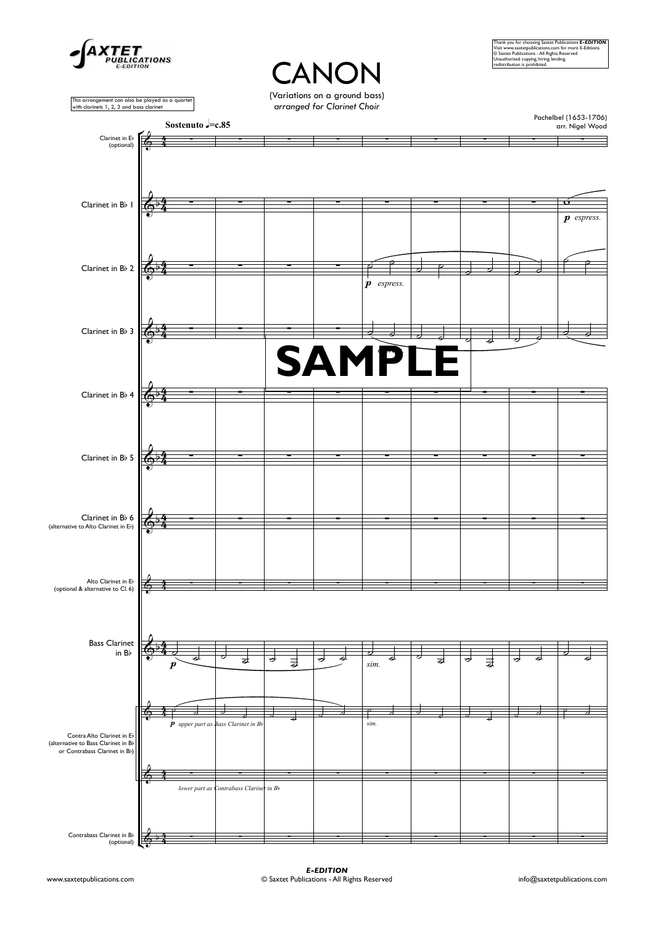

## **CANON**

(Variations on <sup>a</sup> ground bass) *arrangedfor Clarinet Choir*

Thank you for choosing Saxtet Publications **E-EDITION**.<br>Visit www.saxtetpublications.com for more E-Editions.<br>© Saxtet Publications - All Rights Reserved<br>Unauthorised copying, hiring,lending.<br>redistribution is prohibited.

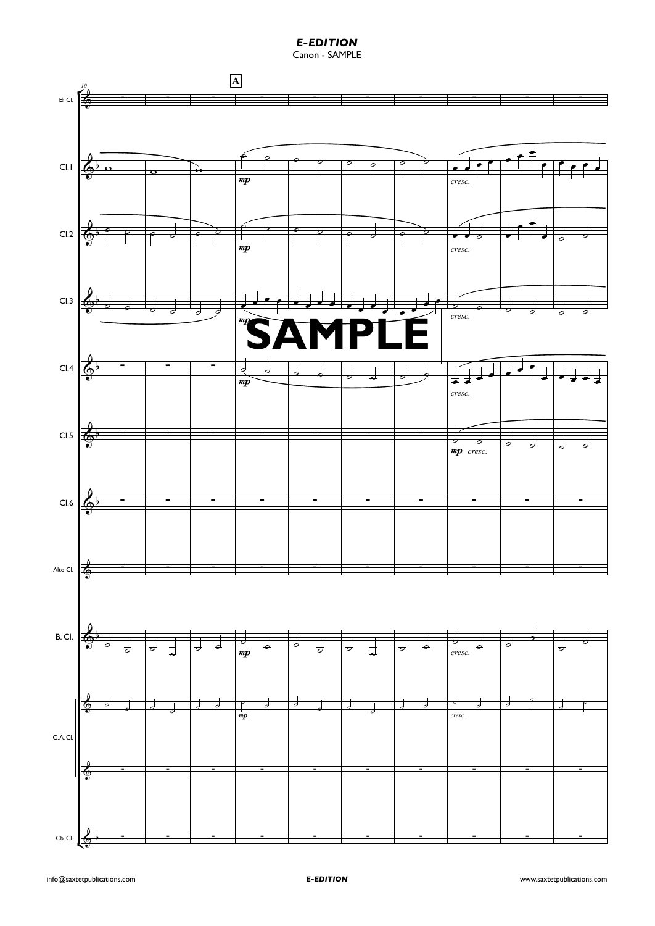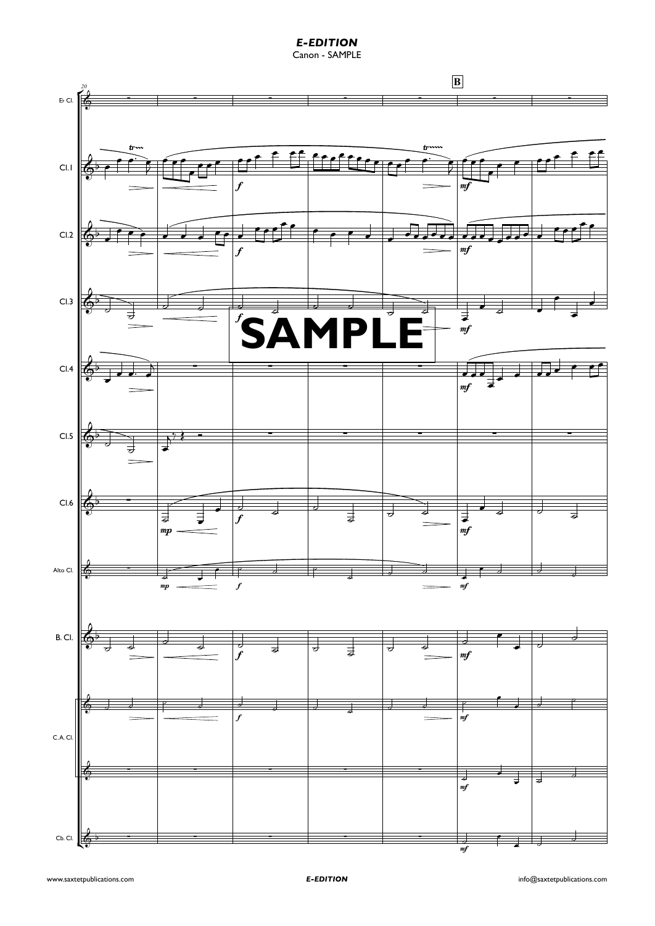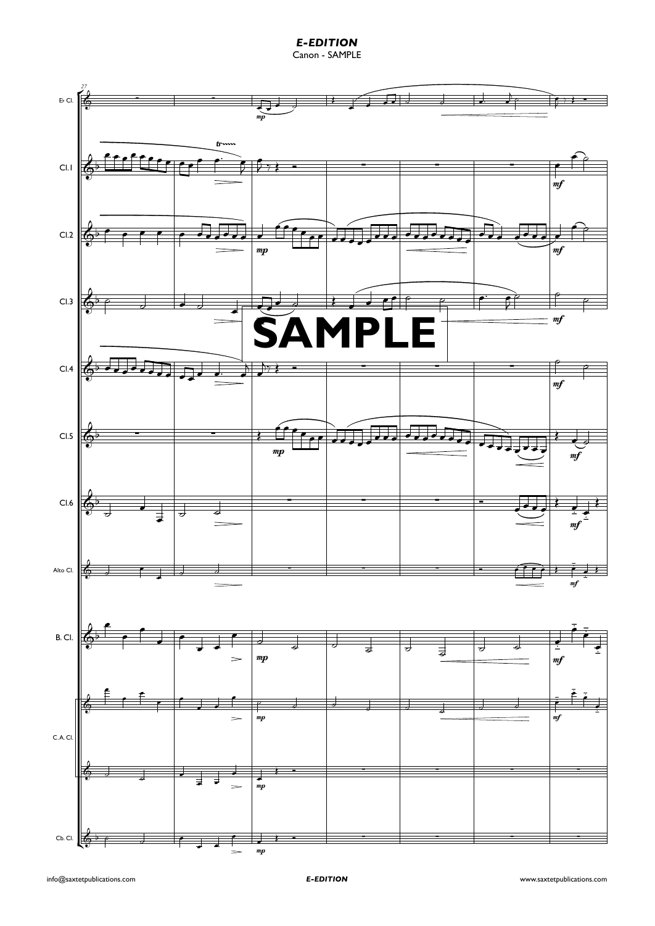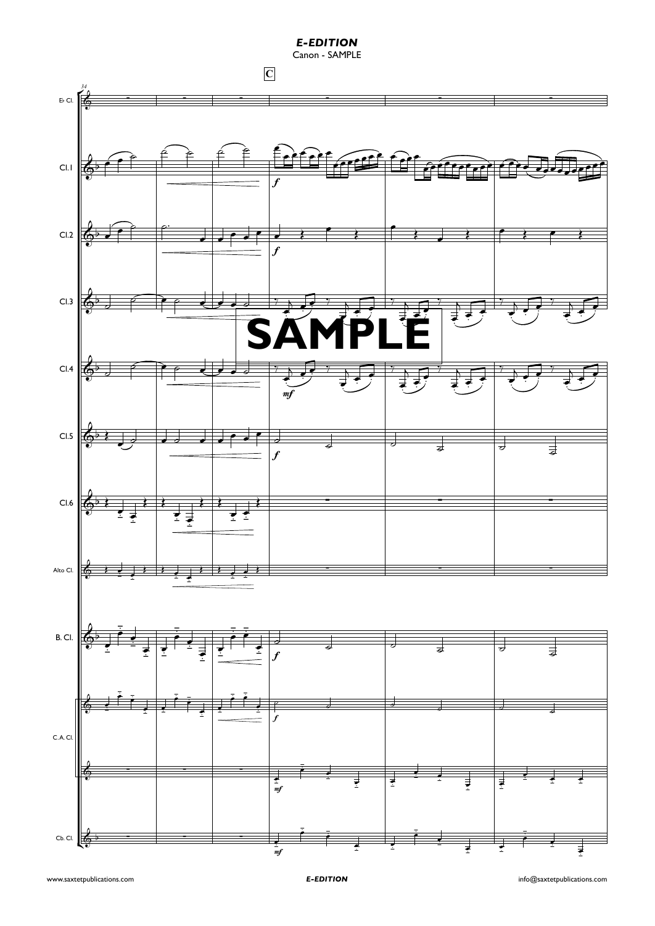**E-EDITION**